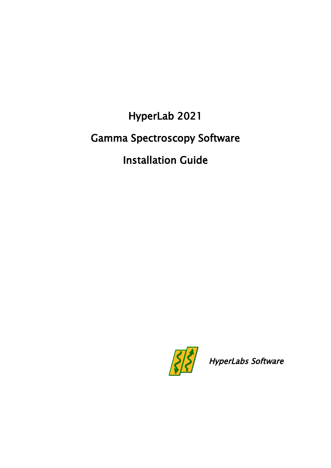HyperLab 2021 Gamma Spectroscopy Software Installation Guide



HyperLabs Software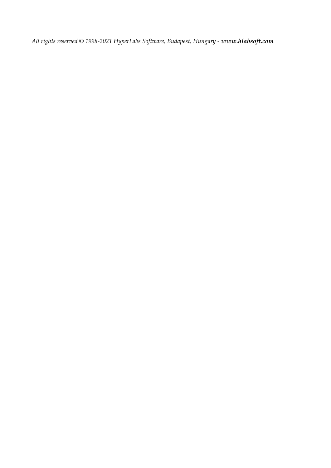*All rights reserved © 1998-2021 HyperLabs Software, Budapest, Hungary - [www.hlabsoft.com](http://www.hlabsoft.com/)*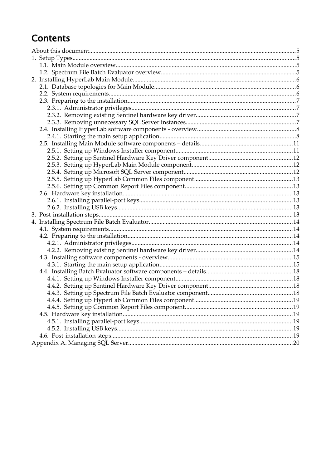# **Contents**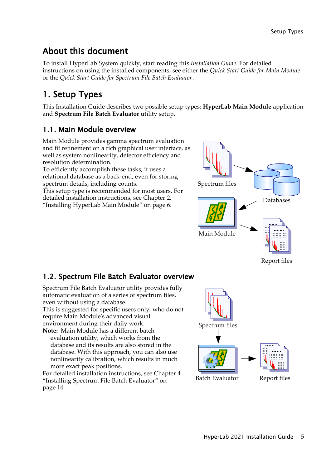# About this document

To install HyperLab System quickly, start reading this *Installation Guide*. For detailed instructions on using the installed components, see either the *Quick Start Guide for Main Module* or the *Quick Start Guide for Spectrum File Batch Evaluator*.

# 1. Setup Types

This Installation Guide describes two possible setup types: **HyperLab Main Module** application and **Spectrum File Batch Evaluator** utility setup.

# 1.1. Main Module overview

Main Module provides gamma spectrum evaluation and fit refinement on a rich graphical user interface, as well as system nonlinearity, detector efficiency and resolution determination.

To efficiently accomplish these tasks, it uses a relational database as a back-end, even for storing spectrum details, including counts.

This setup type is recommended for most users. For detailed installation instructions, see Chapter [2,](#page-5-0) ["Installing HyperLab Main Module"](#page-5-0) on page [6](#page-5-0).



# 1.2. Spectrum File Batch Evaluator overview

Spectrum File Batch Evaluator utility provides fully automatic evaluation of a series of spectrum files, even without using a database.

This is suggested for specific users only, who do not require Main Module's advanced visual environment during their daily work.

**Note:** Main Module has a different batch evaluation utility, which works from the database and its results are also stored in the database. With this approach, you can also use nonlinearity calibration, which results in much more exact peak positions.



For detailed installation instructions, see Chapter [4](#page-13-0) ["Installing Spectrum File Batch Evaluator](#page-13-0)" on page [14](#page-13-0).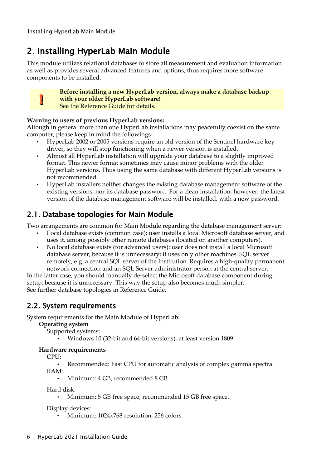# <span id="page-5-0"></span>2. Installing HyperLab Main Module

This module utilizes relational databases to store all measurement and evaluation information as well as provides several advanced features and options, thus requires more software components to be installed.

# **.**

#### **Before installing a new HyperLab version, always make a database backup with your older HyperLab software!**

See the Reference Guide for details.

#### **Warning to users of previous HyperLab versions:**

Altough in general more than one HyperLab installations may peacefully coexist on the same computer, please keep in mind the followings:

- HyperLab 2002 or 2005 versions require an old version of the Sentinel hardware key driver, so they will stop functioning when a newer version is installed.
- Almost all HyperLab installation will upgrade your database to a slightly improved format. This newer format sometimes may cause minor problems with the older HyperLab versions. Thus using the same database with different HyperLab versions is not recommended.
- HyperLab installers neither changes the existing database management software of the existing versions, nor its database password. For a clean installation, however, the latest version of the database management software will be installed, with a new password.

# <span id="page-5-1"></span>2.1. Database topologies for Main Module

Two arrangements are common for Main Module regarding the database management server:

- Local database exists (common case): user installs a local Microsoft database server, and uses it, among possibly other remote databases (located on another computers).
- No local database exists (for advanced users): user does not install a local Microsoft database server, because it is unnecessary; it uses only other machines' SQL server remotely, e.g. a central SQL server of the Institution. Requires a high-quality permanent network connection and an SQL Server administrator person at the central server.

In the latter case, you should manually de-select the Microsoft database component during setup, because it is unnecessary. This way the setup also becomes much simpler. See further database topologies in Reference Guide.

# 2.2. System requirements

System requirements for the Main Module of HyperLab:

#### **Operating system**

Supported systems:

• Windows 10 (32-bit and 64-bit versions), at least version 1809

#### **Hardware requirements**

CPU:

• Recommended: Fast CPU for automatic analysis of complex gamma spectra.

RAM:

• Minimum: 4 GB, recommended 8 GB

Hard disk:

• Minimum: 5 GB free space, recommended 15 GB free space.

Display devices:

• Minimum: 1024x768 resolution, 256 colors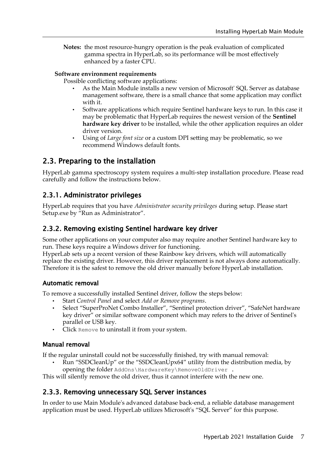**Notes:** the most resource-hungry operation is the peak evaluation of complicated gamma spectra in HyperLab, so its performance will be most effectively enhanced by a faster CPU.

#### **Software environment requirements**

Possible conflicting software applications:

- As the Main Module installs a new version of Microsoft' SQL Server as database management software, there is a small chance that some application may conflict with it.
- Software applications which require Sentinel hardware keys to run. In this case it may be problematic that HyperLab requires the newest version of the **Sentinel hardware key driver** to be installed, while the other application requires an older driver version.
- Using of *Large font size* or a custom DPI setting may be problematic, so we recommend Windows default fonts.

## 2.3. Preparing to the installation

HyperLab gamma spectroscopy system requires a multi-step installation procedure. Please read carefully and follow the instructions below.

#### 2.3.1. Administrator privileges

HyperLab requires that you have *Administrator security privileges* during setup. Please start Setup.exe by "Run as Administrator".

#### 2.3.2. Removing existing Sentinel hardware key driver

Some other applications on your computer also may require another Sentinel hardware key to run. These keys require a Windows driver for functioning.

HyperLab sets up a recent version of these Rainbow key drivers, which will automatically replace the existing driver. However, this driver replacement is not always done automatically. Therefore it is the safest to remove the old driver manually before HyperLab installation.

#### Automatic removal

To remove a successfully installed Sentinel driver, follow the steps below:

- Start *Control Panel* and select *Add or Remove programs*.
- Select "SuperProNet Combo Installer", "Sentinel protection driver", "SafeNet hardware key driver" or similar software component which may refers to the driver of Sentinel's parallel or USB key.
- Click Remove to uninstall it from your system.

#### Manual removal

If the regular uninstall could not be successfully finished, try with manual removal:

• Run "SSDCleanUp" or the "SSDCleanUpx64" utility from the distribution media, by opening the folder AddOns\HardwareKey\RemoveOldDriver .

This will silently remove the old driver, thus it cannot interfere with the new one.

#### 2.3.3. Removing unnecessary SQL Server instances

In order to use Main Module's advanced database back-end, a reliable database management application must be used. HyperLab utilizes Microsoft's "SQL Server" for this purpose.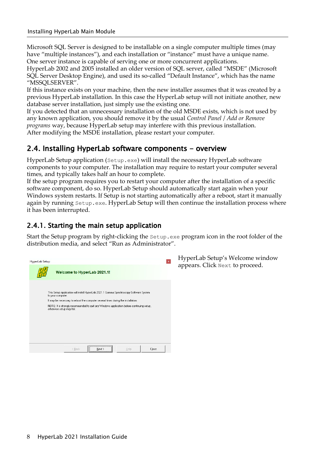Microsoft SQL Server is designed to be installable on a single computer multiple times (may have "multiple instances"), and each installation or "instance" must have a unique name. One server instance is capable of serving one or more concurrent applications.

HyperLab 2002 and 2005 installed an older version of SQL server, called "MSDE" (Microsoft SQL Server Desktop Engine), and used its so-called "Default Instance", which has the name "MSSQLSERVER".

If this instance exists on your machine, then the new installer assumes that it was created by a previous HyperLab installation. In this case the HyperLab setup will not initiate another, new database server installation, just simply use the existing one.

If you detected that an unnecessary installation of the old MSDE exists, which is not used by any known application, you should remove it by the usual *Control Panel* / *Add or Remove programs* way, because HyperLab setup may interfere with this previous installation. After modifying the MSDE installation, please restart your computer.

#### 2.4. Installing HyperLab software components - overview

HyperLab Setup application (Setup.exe) will install the necessary HyperLab software components to your computer. The installation may require to restart your computer several times, and typically takes half an hour to complete.

If the setup program requires you to restart your computer after the installation of a specific software component, do so. HyperLab Setup should automatically start again when your Windows system restarts. If Setup is not starting automatically after a reboot, start it manually again by running Setup.exe. HyperLab Setup will then continue the installation process where it has been interrupted.

#### 2.4.1. Starting the main setup application

Start the Setup program by right-clicking the Setup.exe program icon in the root folder of the distribution media, and select "Run as Administrator".

| <b>HyperLab Setup</b> |                                                                                                                        | $\boldsymbol{\mathsf{x}}$ |
|-----------------------|------------------------------------------------------------------------------------------------------------------------|---------------------------|
|                       | Welcome to HyperLab 2021.1!                                                                                            |                           |
|                       | This Setup application will install HyperLab 2021.1 Gamma Spectroscopy Software System<br>to your computer.            |                           |
|                       | It may be necessary to reboot the computer several times during the installation.                                      |                           |
|                       | NOTE: It is strongly recommended to quit any Windows application before continuing setup,<br>otherwise setup may fail. |                           |
|                       |                                                                                                                        |                           |
|                       |                                                                                                                        |                           |
|                       |                                                                                                                        |                           |
|                       |                                                                                                                        |                           |
|                       |                                                                                                                        |                           |
|                       | < Back<br>Help<br>Close<br>Next >                                                                                      |                           |

HyperLab Setup's Welcome window appears. Click Next to proceed.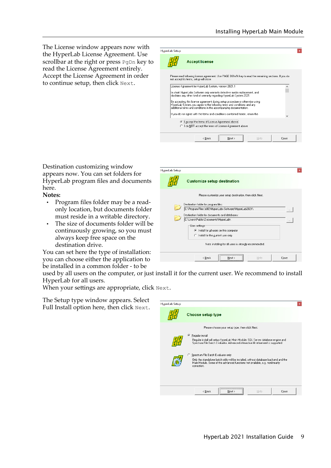The License window appears now with the HyperLab License Agreement. Use scrollbar at the right or press PgDn key to read the License Agreement entirely. Accept the License Agreement in order to continue setup, then click Next.

| <b>HyperLab Setup</b> |                                                                                                                                                                                                                                 |  |
|-----------------------|---------------------------------------------------------------------------------------------------------------------------------------------------------------------------------------------------------------------------------|--|
|                       | <b>Accept license</b>                                                                                                                                                                                                           |  |
|                       | Please read following license agreement, Use PAGE DOWN key to read the remaining sections. If you do<br>not accept its terms, setup will close.                                                                                 |  |
|                       | License Agreement for HyperLab System, version 2021.1                                                                                                                                                                           |  |
|                       | In short: HyperLabs Software only warrants defective media replacement, and<br>disclaims any other kind of warranty regarding HyperLab System 2021.                                                                             |  |
|                       | By accepting this license agreement during setup procedure or otherwise using<br>HyperLab System, you agree to the following terms and conditions and any<br>additional terms and conditions in the accompanying documentation. |  |
|                       | If you do not agree with the terms and conditions contained herein, return the                                                                                                                                                  |  |
|                       |                                                                                                                                                                                                                                 |  |
|                       | The cept the terms of License Agreement above                                                                                                                                                                                   |  |
|                       | C I do NOT accept the terms of License Agreement above                                                                                                                                                                          |  |

Destination customizing window appears now. You can set folders for HyperLab program files and documents here.

**Notes:**

- Program files folder may be a readonly location, but documents folder must reside in a writable directory.
- The size of documents folder will be continuously growing, so you must always keep free space on the destination drive.

You can set here the type of installation: you can choose either the application to be installed in a common folder - to be



used by all users on the computer, or just install it for the current user. We recommend to install HyperLab for all users.

HyperLab Setup

When your settings are appropriate, click Next.

The Setup type window appears. Select Full Install option here, then click Next.

| <b>HyperLab Setup</b> | Choose setup type                                                                                                                                                                                                                               |  |
|-----------------------|-------------------------------------------------------------------------------------------------------------------------------------------------------------------------------------------------------------------------------------------------|--|
|                       | Please choose your setup type, then click Next.<br>Regular install<br>G.<br>Regular install will setup HyperLab Main Module, SQL Server database engine and<br>Spectrum File Batch Evaluator. Advanced interactive fit refinement is supported. |  |
|                       | C Spectrum File Batch Evaluator only<br>Only the standalone batch utility will be installed, without database backend and the<br>Main Module. Some of the advanced functions not available, e.g. nonlinearity<br>correction.                    |  |
|                       | $\langle$ Back<br>Help<br>Close<br>Next                                                                                                                                                                                                         |  |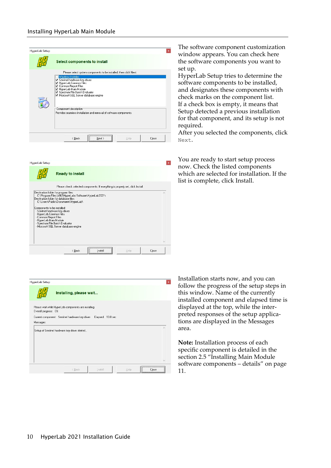| HyperLab Setup |                                                                                                                                                                                                      | $\mathbf x$ |
|----------------|------------------------------------------------------------------------------------------------------------------------------------------------------------------------------------------------------|-------------|
|                | <b>Select components to install</b>                                                                                                                                                                  |             |
|                | Please select system components to be installed, then click Next.                                                                                                                                    |             |
|                | Windows Installer<br>Sentinel hardware key driver<br>HyperLab Common Files<br>Common Report Files<br>■ HyperLab Main Module<br>Spectrum File Batch Evaluator<br>Microsoft SQL Server database engine |             |
|                | Component description<br>Provides seamless installation and removal of software components.                                                                                                          |             |
|                |                                                                                                                                                                                                      |             |
|                | $\leq$ Back<br>Help<br>Next :                                                                                                                                                                        | Close       |

|                                                                                                                                                                                                                                                                   | <b>Ready to install</b>                                                       |                                                                                 |  |
|-------------------------------------------------------------------------------------------------------------------------------------------------------------------------------------------------------------------------------------------------------------------|-------------------------------------------------------------------------------|---------------------------------------------------------------------------------|--|
|                                                                                                                                                                                                                                                                   |                                                                               | Please check selected components. If everything is properly set, click Install. |  |
| Destination folder for program files:<br>Destination folder for database files:<br>Components to be installed:<br>- Sentinel hardware key driver<br>- HyperLab Common Files<br>- Common Report Files<br>- HyperLab Main Module<br>- Spectrum File Batch Evaluator | C:\Users\Public\Documents\HyperLab\<br>- Microsoft SQL Server database engine | C:\Program Files (x86)\HyperLabs Software\HyperLab2021\                         |  |
|                                                                                                                                                                                                                                                                   |                                                                               |                                                                                 |  |

The software component customization window appears. You can check here the software components you want to set up.

HyperLab Setup tries to determine the software components to be installed, and designates these components with check marks on the component list. If a check box is empty, it means that Setup detected a previous installation for that component, and its setup is not required.

After you selected the components, click Next.

You are ready to start setup process now. Check the listed components which are selected for installation. If the list is complete, click Install.

| Overall progress: 0%                          | Please wait while HyperLab components are installing. |                   |   |
|-----------------------------------------------|-------------------------------------------------------|-------------------|---|
| Messages:                                     | Current component: Sentinel hardware key driver       | Elapsed: 13.8 sec |   |
|                                               |                                                       |                   |   |
|                                               |                                                       |                   | Α |
|                                               |                                                       |                   |   |
|                                               |                                                       |                   |   |
| Setup of Sentinel hardware key driver started |                                                       |                   |   |

Installation starts now, and you can follow the progress of the setup steps in this window. Name of the currently installed component and elapsed time is displayed at the top, while the interpreted responses of the setup applications are displayed in the Messages area.

**Note:** Installation process of each specific component is detailed in the section [2.5](#page-10-0) ["Installing Main Module](#page-10-0)  [software components – details"](#page-10-0) on page [11](#page-10-0).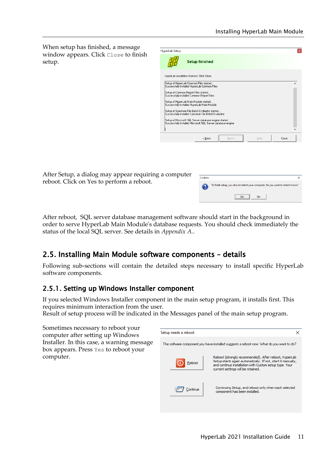When setup has finished, a message window appears. Click Close to finish setup.

| HyperLab Setup                                                                     |                                                                                                                      |  |  |
|------------------------------------------------------------------------------------|----------------------------------------------------------------------------------------------------------------------|--|--|
|                                                                                    | <b>Setup finished</b>                                                                                                |  |  |
| HyperLab installation finished, Click Close,                                       |                                                                                                                      |  |  |
| Setup of HyperLab Common Files started                                             | Successfully installed HyperLab Common Files                                                                         |  |  |
| Setup of Common Report Files started<br>Successfully installed Common Report Files |                                                                                                                      |  |  |
| Setup of HyperLab Main Module started                                              | Successfully installed HyperLab Main Module                                                                          |  |  |
|                                                                                    | Setup of Spectrum File Batch Evaluator started<br>Successfully installed Spectrum File Batch Evaluator               |  |  |
|                                                                                    | Setup of Microsoft SQL Server database engine started<br>Successfully installed Microsoft SQL Server database engine |  |  |
|                                                                                    |                                                                                                                      |  |  |
|                                                                                    |                                                                                                                      |  |  |

After Setup, a dialog may appear requiring a computer reboot. Click on Yes to perform a reboot.

| Confirm |                                                                                   |
|---------|-----------------------------------------------------------------------------------|
| 7       | To finish setup, you should restart your computer. Do you want to restart it now? |
|         | No<br>'es<br>--------------------                                                 |

After reboot, SQL server database management software should start in the background in order to serve HyperLab Main Module's database requests. You should check immediately the status of the local SQL server. See details in *[Appendix A.](#page-19-0)*.

# <span id="page-10-0"></span>2.5. Installing Main Module software components – details

Following sub-sections will contain the detailed steps necessary to install specific HyperLab software components.

#### 2.5.1. Setting up Windows Installer component

If you selected Windows Installer component in the main setup program, it installs first. This requires minimum interaction from the user.

Result of setup process will be indicated in the Messages panel of the main setup program.

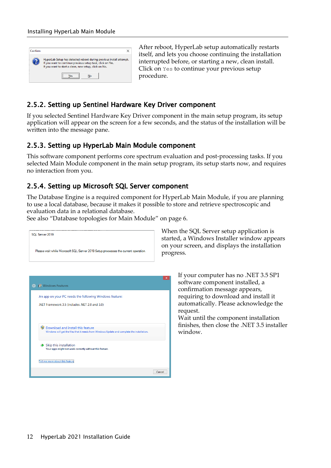| Confirm |                                                                                                                                                                                            |
|---------|--------------------------------------------------------------------------------------------------------------------------------------------------------------------------------------------|
|         | HyperLab Setup has detected reboot during previous install attempt.<br>If you want to continue previous setup task, click on Yes.<br>If you want to start a clean, new setup, click on No. |
|         | No                                                                                                                                                                                         |

After reboot, HyperLab setup automatically restarts itself, and lets you choose continuing the installation interrupted before, or starting a new, clean install. Click on Yes to continue your previous setup procedure.

# 2.5.2. Setting up Sentinel Hardware Key Driver component

If you selected Sentinel Hardware Key Driver component in the main setup program, its setup application will appear on the screen for a few seconds, and the status of the installation will be written into the message pane.

#### 2.5.3. Setting up HyperLab Main Module component

This software component performs core spectrum evaluation and post-processing tasks. If you selected Main Module component in the main setup program, its setup starts now, and requires no interaction from you.

## 2.5.4. Setting up Microsoft SQL Server component

The Database Engine is a required component for HyperLab Main Module, if you are planning to use a local database, because it makes it possible to store and retrieve spectroscopic and evaluation data in a relational database.

See also ["Database topologies for Main Module"](#page-5-1) on page [6](#page-5-1).



When the SQL Server setup application is started, a Windows Installer window appears on your screen, and displays the installation progress.

> If your computer has no .NET 3.5 SP1 software component installed, a confirmation message appears, requiring to download and install it automatically. Please acknowledge the request.

Wait until the component installation finishes, then close the .NET 3.5 installer window.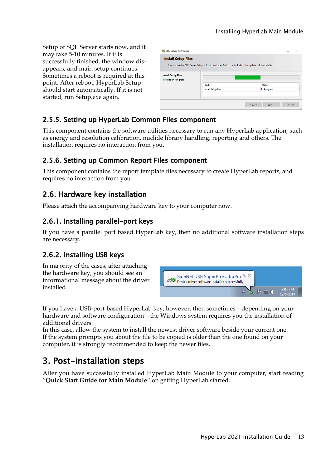Setup of SQL Server starts now, and it may take 5-10 minutes. If it is successfully finished, the window disappears, and main setup continues. Sometimes a reboot is required at this point. After reboot, HyperLab Setup should start automatically. If it is not started, run Setup.exe again.

|                                                            | If an update for SQL Server Setup is found and specified to be included, the update will be installed. |               |
|------------------------------------------------------------|--------------------------------------------------------------------------------------------------------|---------------|
| <b>Install Setup Files</b><br><b>Installation Progress</b> | Task                                                                                                   | <b>Status</b> |
|                                                            | <b>Install Setup files</b>                                                                             | In Progress   |

# 2.5.5. Setting up HyperLab Common Files component

This component contains the software utilities necessary to run any HyperLab application, such as energy and resolution calibration, nuclide library handling, reporting and others. The installation requires no interaction from you.

## 2.5.6. Setting up Common Report Files component

This component contains the report template files necessary to create HyperLab reports, and requires no interaction from you.

# 2.6. Hardware key installation

Please attach the accompanying hardware key to your computer now.

## 2.6.1. Installing parallel-port keys

If you have a parallel port based HyperLab key, then no additional software installation steps are necessary.

# 2.6.2. Installing USB keys

In majority of the cases, after attaching the hardware key, you should see an informational message about the driver installed.



If you have a USB-port-based HyperLab key, however, then sometimes – depending on your hardware and software configuration – the Windows system requires you the installation of additional drivers.

In this case, allow the system to install the newest driver software beside your current one. If the system prompts you about the file to be copied is older than the one found on your computer, it is strongly recommended to keep the newer files.

# 3. Post-installation steps

After you have successfully installed HyperLab Main Module to your computer, start reading "**Quick Start Guide for Main Module**" on getting HyperLab started.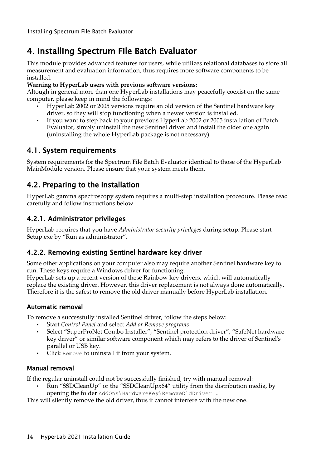# <span id="page-13-0"></span>4. Installing Spectrum File Batch Evaluator

This module provides advanced features for users, while utilizes relational databases to store all measurement and evaluation information, thus requires more software components to be installed.

#### **Warning to HyperLab users with previous software versions:**

Altough in general more than one HyperLab installations may peacefully coexist on the same computer, please keep in mind the followings:

- HyperLab 2002 or 2005 versions require an old version of the Sentinel hardware key driver, so they will stop functioning when a newer version is installed.
- If you want to step back to your previous HyperLab 2002 or 2005 installation of Batch Evaluator, simply uninstall the new Sentinel driver and install the older one again (uninstalling the whole HyperLab package is not necessary).

# 4.1. System requirements

System requirements for the Spectrum File Batch Evaluator identical to those of the HyperLab MainModule version. Please ensure that your system meets them.

# 4.2. Preparing to the installation

HyperLab gamma spectroscopy system requires a multi-step installation procedure. Please read carefully and follow instructions below.

#### 4.2.1. Administrator privileges

HyperLab requires that you have *Administrator security privileges* during setup. Please start Setup.exe by "Run as administrator".

#### 4.2.2. Removing existing Sentinel hardware key driver

Some other applications on your computer also may require another Sentinel hardware key to run. These keys require a Windows driver for functioning.

HyperLab sets up a recent version of these Rainbow key drivers, which will automatically replace the existing driver. However, this driver replacement is not always done automatically. Therefore it is the safest to remove the old driver manually before HyperLab installation.

#### Automatic removal

To remove a successfully installed Sentinel driver, follow the steps below:

- Start *Control Panel* and select *Add or Remove programs*.
- Select "SuperProNet Combo Installer", "Sentinel protection driver", "SafeNet hardware key driver" or similar software component which may refers to the driver of Sentinel's parallel or USB key.
- Click Remove to uninstall it from your system.

#### Manual removal

If the regular uninstall could not be successfully finished, try with manual removal:

• Run "SSDCleanUp" or the "SSDCleanUpx64" utility from the distribution media, by opening the folder AddOns\HardwareKey\RemoveOldDriver .

This will silently remove the old driver, thus it cannot interfere with the new one.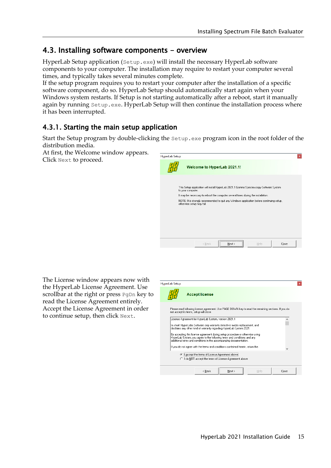# 4.3. Installing software components - overview

HyperLab Setup application (Setup.exe) will install the necessary HyperLab software components to your computer. The installation may require to restart your computer several times, and typically takes several minutes complete.

If the setup program requires you to restart your computer after the installation of a specific software component, do so. HyperLab Setup should automatically start again when your Windows system restarts. If Setup is not starting automatically after a reboot, start it manually again by running Setup.exe. HyperLab Setup will then continue the installation process where it has been interrupted.

#### 4.3.1. Starting the main setup application

Start the Setup program by double-clicking the Setup.exe program icon in the root folder of the distribution media.

At first, the Welcome window appears. Click Next to proceed.

| HyperLab Setup |                           |                             |                                                                                           | $\mathbf{x}$ |
|----------------|---------------------------|-----------------------------|-------------------------------------------------------------------------------------------|--------------|
|                |                           | Welcome to HyperLab 2021.1! |                                                                                           |              |
|                | to your computer.         |                             | This Setup application will install HyperLab 2021.1 Gamma Spectroscopy Software System    |              |
|                |                           |                             | It may be necessary to reboot the computer several times during the installation.         |              |
|                | otherwise setup may fail. |                             | NOTE: It is strongly recommended to quit any Windows application before continuing setup, |              |
|                |                           |                             |                                                                                           |              |
|                |                           |                             |                                                                                           |              |
|                |                           |                             |                                                                                           |              |
|                |                           |                             |                                                                                           |              |
|                |                           |                             |                                                                                           |              |
|                |                           |                             |                                                                                           |              |
|                |                           |                             |                                                                                           |              |

The License window appears now with the HyperLab License Agreement. Use scrollbar at the right or press PgDn key to read the License Agreement entirely. Accept the License Agreement in order to continue setup, then click Next.

| <b>HyperLab Setup</b>                   |                                                       |                                                                                                                                                                                                                                 |      |       |
|-----------------------------------------|-------------------------------------------------------|---------------------------------------------------------------------------------------------------------------------------------------------------------------------------------------------------------------------------------|------|-------|
|                                         | <b>Accept license</b>                                 |                                                                                                                                                                                                                                 |      |       |
| not accept its terms, setup will close. |                                                       | Please read following license agreement. Use PAGE DOWN key to read the remaining sections. If you do                                                                                                                            |      |       |
|                                         | License Agreement for HyperLab System, version 2021.1 |                                                                                                                                                                                                                                 |      |       |
|                                         |                                                       | In short: HyperLabs Software only warrants defective media replacement, and<br>disclaims any other kind of warranty regarding HyperLab System 2021.                                                                             |      |       |
|                                         |                                                       | By accepting this license agreement during setup procedure or otherwise using<br>HyperLab System, you agree to the following terms and conditions and any<br>additional terms and conditions in the accompanying documentation. |      |       |
|                                         |                                                       | If you do not agree with the terms and conditions contained herein, return the                                                                                                                                                  |      | v     |
|                                         | Taccept the terms of License Agreement above          | C I do NOT accept the terms of License Agreement above                                                                                                                                                                          |      |       |
|                                         | < Back                                                | Next >                                                                                                                                                                                                                          | Help | Close |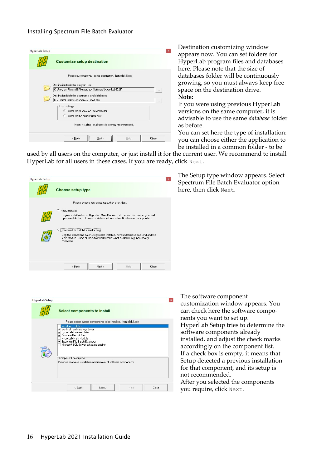| <b>HyperLab Setup</b>                                               | Destination customizing window<br>$\mathbf{x}$                               |
|---------------------------------------------------------------------|------------------------------------------------------------------------------|
| <b>Customize setup destination</b>                                  | appears now. You can set folders for<br>HyperLab program files and databases |
| Please customize your setup destination, then click Next.           | here. Please note that the size of<br>databases folder will be continuously  |
| Destination folder for program files:                               | growing, so you must always keep free                                        |
| C:\Program Files (x86)\HyperLabs Software\HyperLab2021\<br>$\cdots$ | space on the destination drive.                                              |
| Destination folder for documents and databases:                     | Note:                                                                        |
| C:\Users\Public\Documents\HyperLab\<br>$\cdots$                     | If you were using previous HyperLab                                          |
| User settings                                                       |                                                                              |
| (F) Install for all users on this computer                          | versions on the same computer, it is                                         |
| C Install for the current user only                                 | advisable to use the same <i>database</i> folder                             |
| Note: installing for all users is strongly recommended.             | as before.                                                                   |
|                                                                     | You can set here the type of installation:                                   |
| $\leq$ Back<br>$N$ ext ><br>Help<br>Close                           | you can choose either the application to                                     |
|                                                                     | be installed in a common folder - to be                                      |

used by all users on the computer, or just install it for the current user. We recommend to install HyperLab for all users in these cases. If you are ready, click Next.

| <b>HyperLab Setup</b> | Choose setup type                                                                                                                                                                                                                         |      |       |
|-----------------------|-------------------------------------------------------------------------------------------------------------------------------------------------------------------------------------------------------------------------------------------|------|-------|
|                       | Please choose your setup type, then click Next.<br>Regular install<br>Regular install will setup HyperLab Main Module, SQL Server database engine and<br>Spectrum File Batch Evaluator. Advanced interactive fit refinement is supported. |      |       |
|                       | Spectrum File Batch Evaluator only<br>G<br>Only the standalone batch utility will be installed, without database backend and the<br>Main Module. Some of the advanced functions not available, e.g. nonlinearity<br>correction.           |      |       |
|                       | Next ><br>< Back                                                                                                                                                                                                                          | Help | Close |

The Setup type window appears. Select Spectrum File Batch Evaluator option here, then click Next.

| <b>HyperLab Setup</b> |                                                                                                                                                                                                                                                                                                     | $\mathbf x$ |
|-----------------------|-----------------------------------------------------------------------------------------------------------------------------------------------------------------------------------------------------------------------------------------------------------------------------------------------------|-------------|
|                       | <b>Select components to install</b>                                                                                                                                                                                                                                                                 |             |
|                       | Please select system components to be installed, then click Next.                                                                                                                                                                                                                                   |             |
|                       | Windows Installer<br>Sentinel hardware key driver<br>■ HyperLab Common Files<br>Common Report Files<br>HyperLab Main Module<br>Spectrum File Batch Evaluator<br>Microsoft SQL Server database engine<br>Component description<br>Provides seamless installation and removal of software components. |             |
|                       | < Back<br>Close<br>Help<br>Next :<br>--------------------------------------                                                                                                                                                                                                                         |             |

The software component customization window appears. You can check here the software components you want to set up. HyperLab Setup tries to determine the software components already installed, and adjust the check marks accordingly on the component list. If a check box is empty, it means that Setup detected a previous installation for that component, and its setup is not recommended. After you selected the components you require, click Next.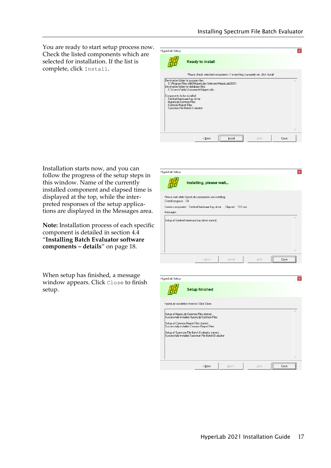You are ready to start setup process now. Check the listed components which are selected for installation. If the list is complete, click Install.

| <b>HyperLab Setup</b> |                                                                                                                                                                                                                                                                                                                  |  |
|-----------------------|------------------------------------------------------------------------------------------------------------------------------------------------------------------------------------------------------------------------------------------------------------------------------------------------------------------|--|
|                       | <b>Ready to install</b>                                                                                                                                                                                                                                                                                          |  |
|                       | Please check selected components. If everything is properly set, click Install.                                                                                                                                                                                                                                  |  |
| - Common Report Files | Destination folder for program files:<br>C:\Program Files (x86)\HyperLabs Software\HyperLab2021\<br>Destination folder for database files:<br>C:\Users\Public\Documents\HyperLab\<br>Components to be installed:<br>- Sentinel hardware key driver<br>- HyperLab Common Files<br>- Spectrum File Batch Evaluator |  |
|                       |                                                                                                                                                                                                                                                                                                                  |  |

Installation starts now, and you can follow the progress of the setup steps in this window. Name of the currently installed component and elapsed time is displayed at the top, while the interpreted responses of the setup applications are displayed in the Messages area.

**Note:** Installation process of each specific component is detailed in section [4.4](#page-17-0) "**[Installing Batch Evaluator software](#page-17-0)  [components – details](#page-17-0)**" on page [18.](#page-17-0)

When setup has finished, a message window appears. Click Close to finish setup.

| Installing, please wait<br>Please wait while HyperLab components are installing.<br>Overall progress: 0%<br>Current component: Sentinel hardware key driver<br>Elapsed: 13.8 sec<br>Messages:<br>Setup of Sentinel hardware key driver started<br>< Back<br>Install<br>Help<br>Close |          |
|--------------------------------------------------------------------------------------------------------------------------------------------------------------------------------------------------------------------------------------------------------------------------------------|----------|
|                                                                                                                                                                                                                                                                                      |          |
|                                                                                                                                                                                                                                                                                      |          |
|                                                                                                                                                                                                                                                                                      |          |
|                                                                                                                                                                                                                                                                                      | ×        |
|                                                                                                                                                                                                                                                                                      | $\omega$ |
|                                                                                                                                                                                                                                                                                      |          |

| <b>HyperLab Setup</b>                                                                                                                                                                                                                                                                  |                       |        |      |       |
|----------------------------------------------------------------------------------------------------------------------------------------------------------------------------------------------------------------------------------------------------------------------------------------|-----------------------|--------|------|-------|
|                                                                                                                                                                                                                                                                                        | <b>Setup finished</b> |        |      |       |
| HyperLab installation finished. Click Close.                                                                                                                                                                                                                                           |                       |        |      |       |
| Setup of HyperLab Common Files started<br>Successfully installed HyperLab Common Files<br>Setup of Common Report Files started<br>Successfully installed Common Report Files<br>Setup of Spectrum File Batch Evaluator started<br>Successfully installed Spectrum File Batch Evaluator |                       |        |      |       |
|                                                                                                                                                                                                                                                                                        |                       |        |      |       |
|                                                                                                                                                                                                                                                                                        | < Back                | Next > | Help | Close |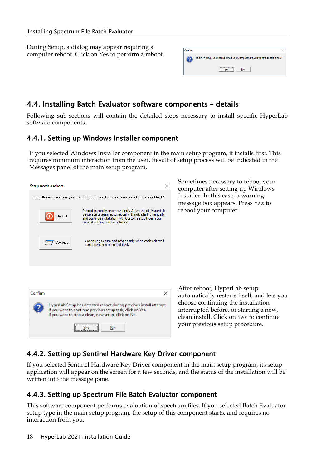During Setup, a dialog may appear requiring a computer reboot. Click on Yes to perform a reboot.

| Confirm |                                                                                   |
|---------|-----------------------------------------------------------------------------------|
|         | To finish setup, you should restart your computer. Do you want to restart it now? |
|         | No<br>Ves<br>-------------------<br>-------                                       |

## <span id="page-17-0"></span>4.4. Installing Batch Evaluator software components – details

Following sub-sections will contain the detailed steps necessary to install specific HyperLab software components.

#### 4.4.1. Setting up Windows Installer component

If you selected Windows Installer component in the main setup program, it installs first. This requires minimum interaction from the user. Result of setup process will be indicated in the Messages panel of the main setup program.

|                                                                                                                                                                                                                                 | Sometimes necessary to reboot your                                                                                      |
|---------------------------------------------------------------------------------------------------------------------------------------------------------------------------------------------------------------------------------|-------------------------------------------------------------------------------------------------------------------------|
| ×<br>Setup needs a reboot                                                                                                                                                                                                       | computer after setting up Windows                                                                                       |
| The software component you have installed suggests a reboot now. What do you want to do?                                                                                                                                        | Installer. In this case, a warning<br>message box appears. Press Yes to                                                 |
| Reboot (strongly recommended). After reboot, HyperLab<br>Setup starts again automatically. If not, start it manually,<br>Reboot<br>and continue installation with Custom setup type. Your<br>current settings will be retained. | reboot your computer.                                                                                                   |
| Continuing Setup, and reboot only when each selected<br>Continue<br>component has been installed.                                                                                                                               |                                                                                                                         |
|                                                                                                                                                                                                                                 |                                                                                                                         |
|                                                                                                                                                                                                                                 | After reboot, HyperLab setup                                                                                            |
| Confirm<br>×                                                                                                                                                                                                                    | automatically restarts itself, and lets you                                                                             |
| HyperLab Setup has detected reboot during previous install attempt.<br>If you want to continue previous setup task, click on Yes.<br>If you want to start a clean, new setup, click on No.                                      | choose continuing the installation<br>interrupted before, or starting a new,<br>clean install. Click on Yes to continue |
| <br>No<br>Yes                                                                                                                                                                                                                   | your previous setup procedure.                                                                                          |

#### 4.4.2. Setting up Sentinel Hardware Key Driver component

If you selected Sentinel Hardware Key Driver component in the main setup program, its setup application will appear on the screen for a few seconds, and the status of the installation will be written into the message pane.

#### 4.4.3. Setting up Spectrum File Batch Evaluator component

This software component performs evaluation of spectrum files. If you selected Batch Evaluator setup type in the main setup program, the setup of this component starts, and requires no interaction from you.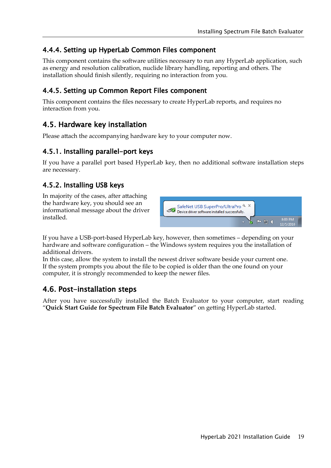#### 4.4.4. Setting up HyperLab Common Files component

This component contains the software utilities necessary to run any HyperLab application, such as energy and resolution calibration, nuclide library handling, reporting and others. The installation should finish silently, requiring no interaction from you.

#### 4.4.5. Setting up Common Report Files component

This component contains the files necessary to create HyperLab reports, and requires no interaction from you.

# 4.5. Hardware key installation

Please attach the accompanying hardware key to your computer now.

#### 4.5.1. Installing parallel-port keys

If you have a parallel port based HyperLab key, then no additional software installation steps are necessary.

#### 4.5.2. Installing USB keys

In majority of the cases, after attaching the hardware key, you should see an informational message about the driver installed.



If you have a USB-port-based HyperLab key, however, then sometimes – depending on your hardware and software configuration – the Windows system requires you the installation of additional drivers.

In this case, allow the system to install the newest driver software beside your current one. If the system prompts you about the file to be copied is older than the one found on your computer, it is strongly recommended to keep the newer files.

# 4.6. Post-installation steps

After you have successfully installed the Batch Evaluator to your computer, start reading "**Quick Start Guide for Spectrum File Batch Evaluator**" on getting HyperLab started.